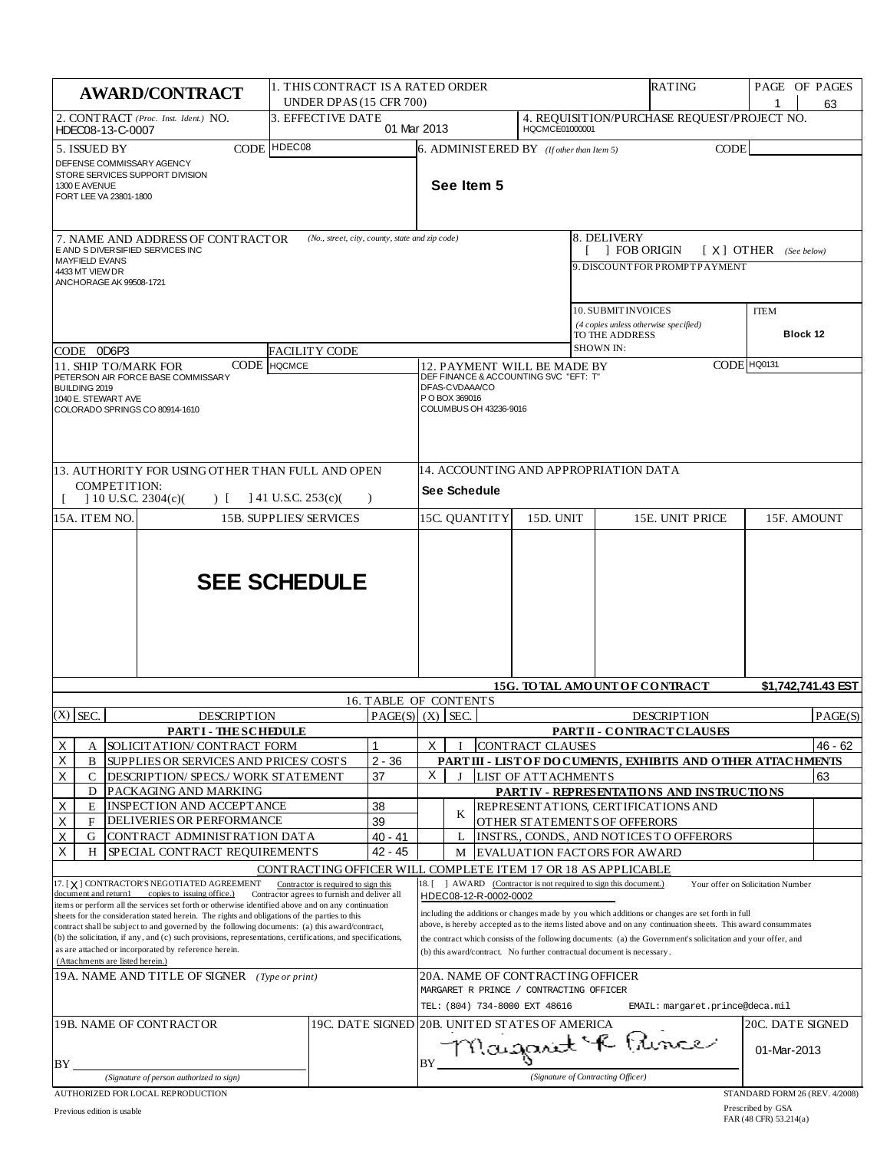| <b>AWARD/CONTRACT</b>                                                                                                                                                                                                                                                                                                                                                                                                                                                                                           | 1. THIS CONTRACT IS A RATED ORDER<br>UNDER DPAS (15 CFR 700)                                                                                         |                              |                                                                                                                                                                                                                                                                                                                                                                                                             |                       |                                                                                                              |                                    | RATING                                                                            | PAGE OF PAGES                     | 63                 |
|-----------------------------------------------------------------------------------------------------------------------------------------------------------------------------------------------------------------------------------------------------------------------------------------------------------------------------------------------------------------------------------------------------------------------------------------------------------------------------------------------------------------|------------------------------------------------------------------------------------------------------------------------------------------------------|------------------------------|-------------------------------------------------------------------------------------------------------------------------------------------------------------------------------------------------------------------------------------------------------------------------------------------------------------------------------------------------------------------------------------------------------------|-----------------------|--------------------------------------------------------------------------------------------------------------|------------------------------------|-----------------------------------------------------------------------------------|-----------------------------------|--------------------|
| 2. CONTRACT (Proc. Inst. Ident.) NO.<br>HDEC08-13-C-0007                                                                                                                                                                                                                                                                                                                                                                                                                                                        | 3. EFFECTIVE DATE                                                                                                                                    | 01 Mar 2013                  |                                                                                                                                                                                                                                                                                                                                                                                                             |                       | HQCMCE01000001                                                                                               |                                    | 4. REQUISITION/PURCHASE REQUEST/PROJECT NO.                                       |                                   |                    |
| 5. ISSUED BY<br>DEFENSE COMMISSARY AGENCY<br>STORE SERVICES SUPPORT DIVISION<br>1300 E AVENUE<br>FORT LEE VA 23801-1800                                                                                                                                                                                                                                                                                                                                                                                         | CODE HDEC08                                                                                                                                          |                              |                                                                                                                                                                                                                                                                                                                                                                                                             | See Item 5            | $6.$ ADMINISTERED BY (If other than Item 5)                                                                  |                                    | <b>CODE</b>                                                                       |                                   |                    |
| (No., street, city, county, state and zip code)<br>7. NAME AND ADDRESS OF CONTRACTOR<br>E AND S DIVERSIFIED SERVICES INC<br><b>MAYFIELD EVANS</b>                                                                                                                                                                                                                                                                                                                                                               |                                                                                                                                                      |                              |                                                                                                                                                                                                                                                                                                                                                                                                             |                       |                                                                                                              | 8. DELIVERY                        | 1 FOB ORIGIN<br>9. DISCOUNT FOR PROMPT PAYMENT                                    | $[X]$ OTHER (See below)           |                    |
| 4433 MT VIEW DR<br>ANCHORAGE AK 99508-1721                                                                                                                                                                                                                                                                                                                                                                                                                                                                      |                                                                                                                                                      |                              |                                                                                                                                                                                                                                                                                                                                                                                                             |                       |                                                                                                              |                                    | 10. SUBMIT INVOICES<br>(4 copies unless otherwise specified)                      | <b>ITEM</b>                       |                    |
|                                                                                                                                                                                                                                                                                                                                                                                                                                                                                                                 |                                                                                                                                                      |                              |                                                                                                                                                                                                                                                                                                                                                                                                             |                       |                                                                                                              | TO THE ADDRESS<br><b>SHOWN IN:</b> |                                                                                   | Block 12                          |                    |
| CODE 0D6P3<br>CODE<br>11. SHIP TO/MARK FOR                                                                                                                                                                                                                                                                                                                                                                                                                                                                      | <b>FACILITY CODE</b><br>Іносмсе                                                                                                                      |                              |                                                                                                                                                                                                                                                                                                                                                                                                             |                       |                                                                                                              |                                    |                                                                                   |                                   |                    |
| PETERSON AIR FORCE BASE COMMISSARY<br>BUILDING 2019<br>1040 E. STEWART AVE<br>COLORADO SPRINGS CO 80914-1610                                                                                                                                                                                                                                                                                                                                                                                                    |                                                                                                                                                      |                              | CODE HQ0131<br>12. PAYMENT WILL BE MADE BY<br>DEF FINANCE & ACCOUNTING SVC "EFT: T"<br>DFAS-CVDAAA/CO<br>P O BOX 369016<br>COLUMBUS OH 43236-9016                                                                                                                                                                                                                                                           |                       |                                                                                                              |                                    |                                                                                   |                                   |                    |
| 13. AUTHORITY FOR USING OTHER THAN FULL AND OPEN                                                                                                                                                                                                                                                                                                                                                                                                                                                                |                                                                                                                                                      |                              |                                                                                                                                                                                                                                                                                                                                                                                                             |                       |                                                                                                              |                                    | 14. ACCOUNTING AND APPROPRIATION DATA                                             |                                   |                    |
| <b>COMPETITION:</b><br>$10$ U.S.C. 2304(c)(<br>$\left( \begin{array}{c} 1 \\ 1 \end{array} \right)$                                                                                                                                                                                                                                                                                                                                                                                                             | $141$ U.S.C. 253(c)(                                                                                                                                 | $\lambda$                    | See Schedule                                                                                                                                                                                                                                                                                                                                                                                                |                       |                                                                                                              |                                    |                                                                                   |                                   |                    |
| 15A. ITEM NO.                                                                                                                                                                                                                                                                                                                                                                                                                                                                                                   | <b>15B. SUPPLIES/SERVICES</b>                                                                                                                        |                              | 15C. QUANTITY                                                                                                                                                                                                                                                                                                                                                                                               |                       | 15D. UNIT                                                                                                    |                                    | 15E. UNIT PRICE                                                                   | 15F. AMOUNT                       |                    |
|                                                                                                                                                                                                                                                                                                                                                                                                                                                                                                                 | <b>SEE SCHEDULE</b>                                                                                                                                  |                              |                                                                                                                                                                                                                                                                                                                                                                                                             |                       |                                                                                                              |                                    | 15G. TO TAL AMOUNT OF CONTRACT                                                    |                                   | \$1,742,741.43 EST |
|                                                                                                                                                                                                                                                                                                                                                                                                                                                                                                                 |                                                                                                                                                      | <b>16. TABLE OF CONTENTS</b> |                                                                                                                                                                                                                                                                                                                                                                                                             |                       |                                                                                                              |                                    |                                                                                   |                                   |                    |
| $(X)$ SEC.<br><b>DESCRIPTION</b>                                                                                                                                                                                                                                                                                                                                                                                                                                                                                |                                                                                                                                                      |                              | $PAGE(S)$ (X) SEC.                                                                                                                                                                                                                                                                                                                                                                                          |                       |                                                                                                              |                                    | <b>DESCRIPTION</b>                                                                |                                   | PAGE(S)            |
| <b>PARTI - THESCHEDULE</b><br>х<br>SOLICIT AT ION/ CONTRACT FORM<br>А                                                                                                                                                                                                                                                                                                                                                                                                                                           |                                                                                                                                                      |                              | X                                                                                                                                                                                                                                                                                                                                                                                                           |                       | CONTRACT CLAUSES                                                                                             |                                    | PARTII - CONTRACT CLAUSES                                                         |                                   | 46 - 62            |
| Х<br>В<br>SUPPLIES OR SERVICES AND PRICES/ COSTS                                                                                                                                                                                                                                                                                                                                                                                                                                                                |                                                                                                                                                      | $2 - 36$                     |                                                                                                                                                                                                                                                                                                                                                                                                             |                       |                                                                                                              |                                    | PART III - LIST OF DO CUMENTS, EXHIBITS AND OTHER ATTACHMENTS                     |                                   |                    |
| X<br>С<br>DESCRIPTION/ SPECS./ WORK STATEMENT                                                                                                                                                                                                                                                                                                                                                                                                                                                                   |                                                                                                                                                      | 37                           | X<br>$\bf{I}$                                                                                                                                                                                                                                                                                                                                                                                               |                       | LIST OF ATTACHMENTS                                                                                          |                                    |                                                                                   |                                   | 63                 |
| PACKAGING AND MARKING<br>D<br>Х<br>INSPECTION AND ACCEPTANCE<br>E                                                                                                                                                                                                                                                                                                                                                                                                                                               |                                                                                                                                                      | 38                           |                                                                                                                                                                                                                                                                                                                                                                                                             |                       |                                                                                                              |                                    | PARTIV - REPRESENTATIONS AND INSTRUCTIONS<br>REPRESENT ATIONS, CERTIFICATIONS AND |                                   |                    |
| Χ<br><b>DELIVERIES OR PERFORMANCE</b><br>F                                                                                                                                                                                                                                                                                                                                                                                                                                                                      |                                                                                                                                                      | 39                           | K                                                                                                                                                                                                                                                                                                                                                                                                           |                       |                                                                                                              |                                    | OTHER STATEMENTS OF OFFERORS                                                      |                                   |                    |
| Χ<br>G<br>CONTRACT ADMINISTRATION DATA                                                                                                                                                                                                                                                                                                                                                                                                                                                                          |                                                                                                                                                      | 40 - 41                      | L                                                                                                                                                                                                                                                                                                                                                                                                           |                       |                                                                                                              |                                    | INSTRS., CONDS., AND NOTICES TO OFFERORS                                          |                                   |                    |
| X<br>SPECIAL CONTRACT REQUIREMENTS<br>H                                                                                                                                                                                                                                                                                                                                                                                                                                                                         |                                                                                                                                                      | 42 - 45                      | M                                                                                                                                                                                                                                                                                                                                                                                                           |                       |                                                                                                              |                                    | <b>EVALUATION FACTORS FOR AWARD</b>                                               |                                   |                    |
| 17. [X] CONTRACTOR'S NEGOTIATED AGREEMENT<br>document and return1 copies to issuing office.)                                                                                                                                                                                                                                                                                                                                                                                                                    | CONTRACTING OFFICER WILL COMPLETE ITEM 17 OR 18 AS APPLICABLE<br>Contractor is required to sign this<br>Contractor agrees to furnish and deliver all |                              | 18. [                                                                                                                                                                                                                                                                                                                                                                                                       | HDEC08-12-R-0002-0002 | AWARD (Contractor is not required to sign this document.)                                                    |                                    |                                                                                   | Your offer on Solicitation Number |                    |
| items or perform all the services set forth or otherwise identified above and on any continuation<br>sheets for the consideration stated herein. The rights and obligations of the parties to this<br>contract shall be subject to and governed by the following documents: (a) this award/contract,<br>(b) the solicitation, if any, and (c) such provisions, representations, certifications, and specifications,<br>as are attached or incorporated by reference herein.<br>(Attachments are listed herein.) |                                                                                                                                                      |                              | including the additions or changes made by you which additions or changes are set forth in full<br>above, is hereby accepted as to the items listed above and on any continuation sheets. This award consummates<br>the contract which consists of the following documents: (a) the Government's solicitation and your offer, and<br>(b) this award/contract. No further contractual document is necessary. |                       |                                                                                                              |                                    |                                                                                   |                                   |                    |
| 19A. NAME AND TITLE OF SIGNER (Type or print)                                                                                                                                                                                                                                                                                                                                                                                                                                                                   |                                                                                                                                                      |                              |                                                                                                                                                                                                                                                                                                                                                                                                             |                       | 20A. NAME OF CONTRACTING OFFICER<br>MARGARET R PRINCE / CONTRACTING OFFICER<br>TEL: (804) 734-8000 EXT 48616 |                                    | EMAIL: margaret.prince@deca.mil                                                   |                                   |                    |
| 19B. NAME OF CONTRACTOR                                                                                                                                                                                                                                                                                                                                                                                                                                                                                         |                                                                                                                                                      |                              |                                                                                                                                                                                                                                                                                                                                                                                                             |                       | 19C. DATE SIGNED 20B. UNITED STATES OF AMERICA                                                               |                                    |                                                                                   | <b>20C. DATE SIGNED</b>           |                    |
| BY                                                                                                                                                                                                                                                                                                                                                                                                                                                                                                              |                                                                                                                                                      |                              | BY                                                                                                                                                                                                                                                                                                                                                                                                          |                       |                                                                                                              |                                    | Magarit & Pince                                                                   | 01-Mar-2013                       |                    |
| (Signature of person authorized to sign)                                                                                                                                                                                                                                                                                                                                                                                                                                                                        |                                                                                                                                                      |                              |                                                                                                                                                                                                                                                                                                                                                                                                             |                       |                                                                                                              | (Signature of Contracting Officer) |                                                                                   |                                   |                    |
| AUTHORIZED FOR LOCAL REPRODUCTION                                                                                                                                                                                                                                                                                                                                                                                                                                                                               |                                                                                                                                                      |                              |                                                                                                                                                                                                                                                                                                                                                                                                             |                       |                                                                                                              |                                    |                                                                                   | STANDARD FORM 26 (REV. 4/2008)    |                    |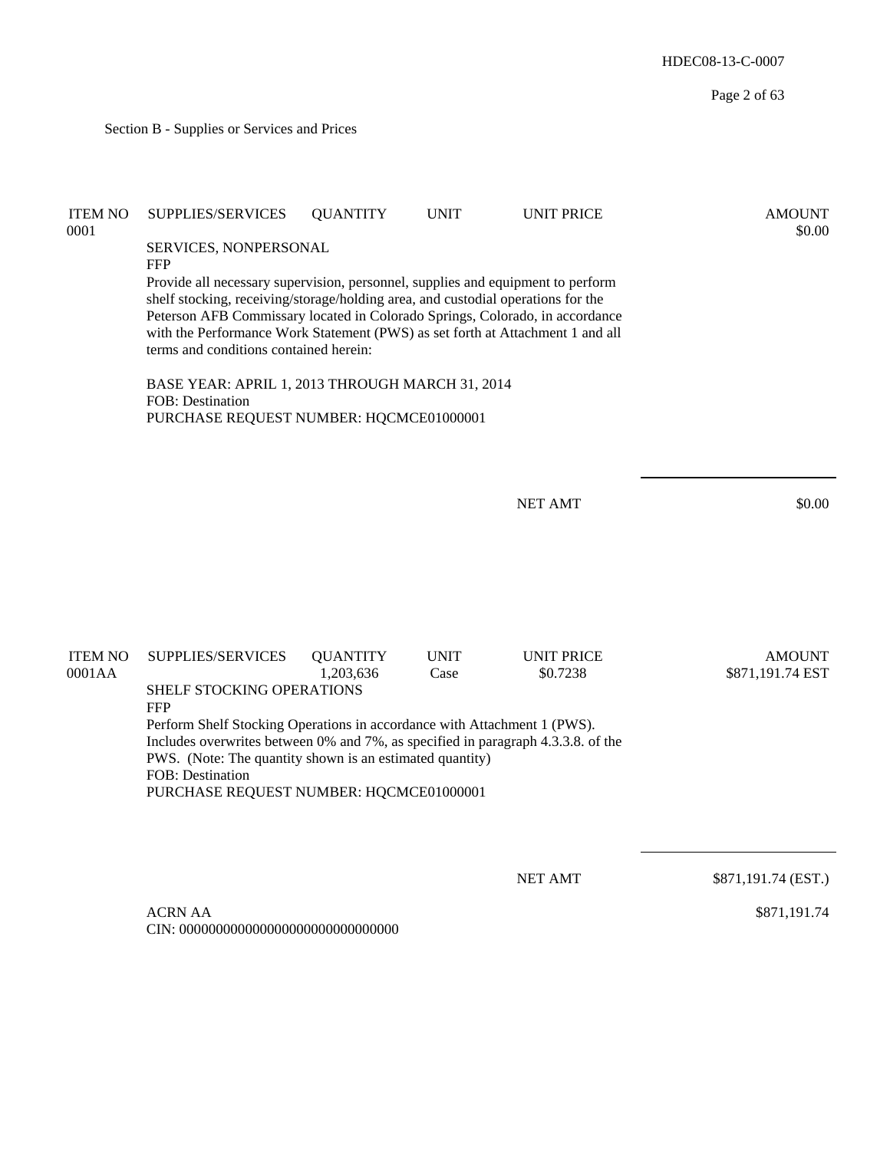Page 2 of 63 Section B - Supplies or Services and Prices ITEM NO SUPPLIES/SERVICES QUANTITY UNIT UNIT PRICE AMOUNT  $0.0001$  \$0.00 SERVICES, NONPERSONAL FFP Provide all necessary supervision, personnel, supplies and equipment to perform shelf stocking, receiving/storage/holding area, and custodial operations for the Peterson AFB Commissary located in Colorado Springs, Colorado, in accordance with the Performance Work Statement (PWS) as set forth at Attachment 1 and all terms and conditions contained herein: BASE YEAR: APRIL 1, 2013 THROUGH MARCH 31, 2014 FOB: Destination PURCHASE REQUEST NUMBER: HQCMCE01000001 NET AMT \$0.00 ITEM NO SUPPLIES/SERVICES QUANTITY UNIT UNIT PRICE AMOUNT 0001AA 1,203,636 Case \$0.7238 \$871,191.74 EST SHELF STOCKING OPERATIONS FFP Perform Shelf Stocking Operations in accordance with Attachment 1 (PWS). Includes overwrites between 0% and 7%, as specified in paragraph 4.3.3.8. of the PWS. (Note: The quantity shown is an estimated quantity) FOB: Destination PURCHASE REQUEST NUMBER: HQCMCE01000001 NET AMT \$871,191.74 (EST.) ACRN AA CIN: 000000000000000000000000000000 \$871,191.74

HDEC08-13-C-0007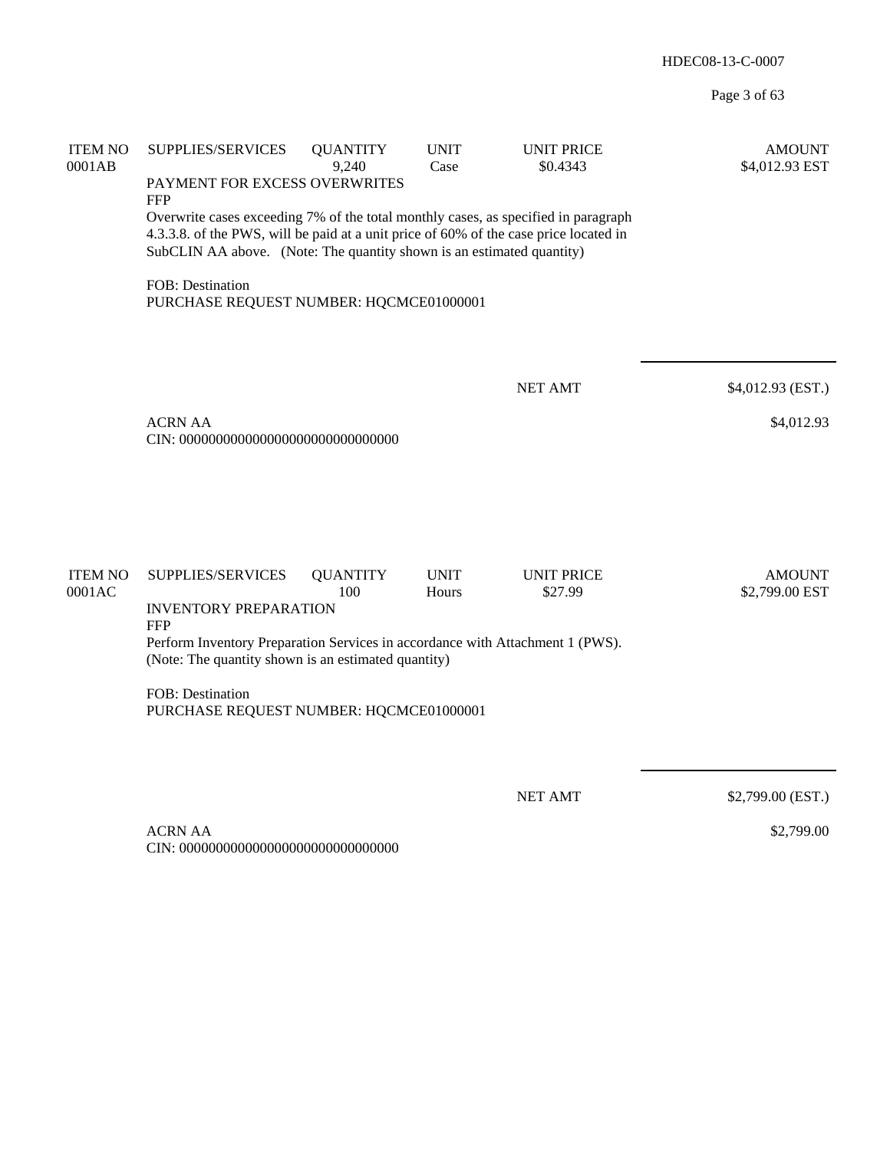Page 3 of 63

| <b>ITEM NO</b><br>0001AB | SUPPLIES/SERVICES<br>PAYMENT FOR EXCESS OVERWRITES<br><b>FFP</b>                                                                                                                                                                                     | <b>QUANTITY</b><br>9,240 | <b>UNIT</b><br>Case  | <b>UNIT PRICE</b><br>\$0.4343 | <b>AMOUNT</b><br>\$4,012.93 EST |
|--------------------------|------------------------------------------------------------------------------------------------------------------------------------------------------------------------------------------------------------------------------------------------------|--------------------------|----------------------|-------------------------------|---------------------------------|
|                          | Overwrite cases exceeding 7% of the total monthly cases, as specified in paragraph<br>4.3.3.8. of the PWS, will be paid at a unit price of 60% of the case price located in<br>SubCLIN AA above. (Note: The quantity shown is an estimated quantity) |                          |                      |                               |                                 |
|                          | FOB: Destination<br>PURCHASE REQUEST NUMBER: HQCMCE01000001                                                                                                                                                                                          |                          |                      |                               |                                 |
|                          |                                                                                                                                                                                                                                                      |                          |                      | <b>NET AMT</b>                | \$4,012.93 (EST.)               |
|                          | <b>ACRN AA</b>                                                                                                                                                                                                                                       |                          |                      |                               | \$4,012.93                      |
|                          |                                                                                                                                                                                                                                                      |                          |                      |                               |                                 |
| <b>ITEM NO</b><br>0001AC | SUPPLIES/SERVICES<br><b>INVENTORY PREPARATION</b>                                                                                                                                                                                                    | <b>QUANTITY</b><br>100   | <b>UNIT</b><br>Hours | <b>UNIT PRICE</b><br>\$27.99  | <b>AMOUNT</b><br>\$2,799.00 EST |
|                          | <b>FFP</b><br>Perform Inventory Preparation Services in accordance with Attachment 1 (PWS).<br>(Note: The quantity shown is an estimated quantity)                                                                                                   |                          |                      |                               |                                 |
|                          | FOB: Destination<br>PURCHASE REQUEST NUMBER: HQCMCE01000001                                                                                                                                                                                          |                          |                      |                               |                                 |
|                          |                                                                                                                                                                                                                                                      |                          |                      | <b>NET AMT</b>                | \$2,799.00 (EST.)               |
|                          | <b>ACRN AA</b><br>CIN: 000000000000000000000000000000                                                                                                                                                                                                |                          |                      |                               | \$2,799.00                      |

CIN: 000000000000000000000000000000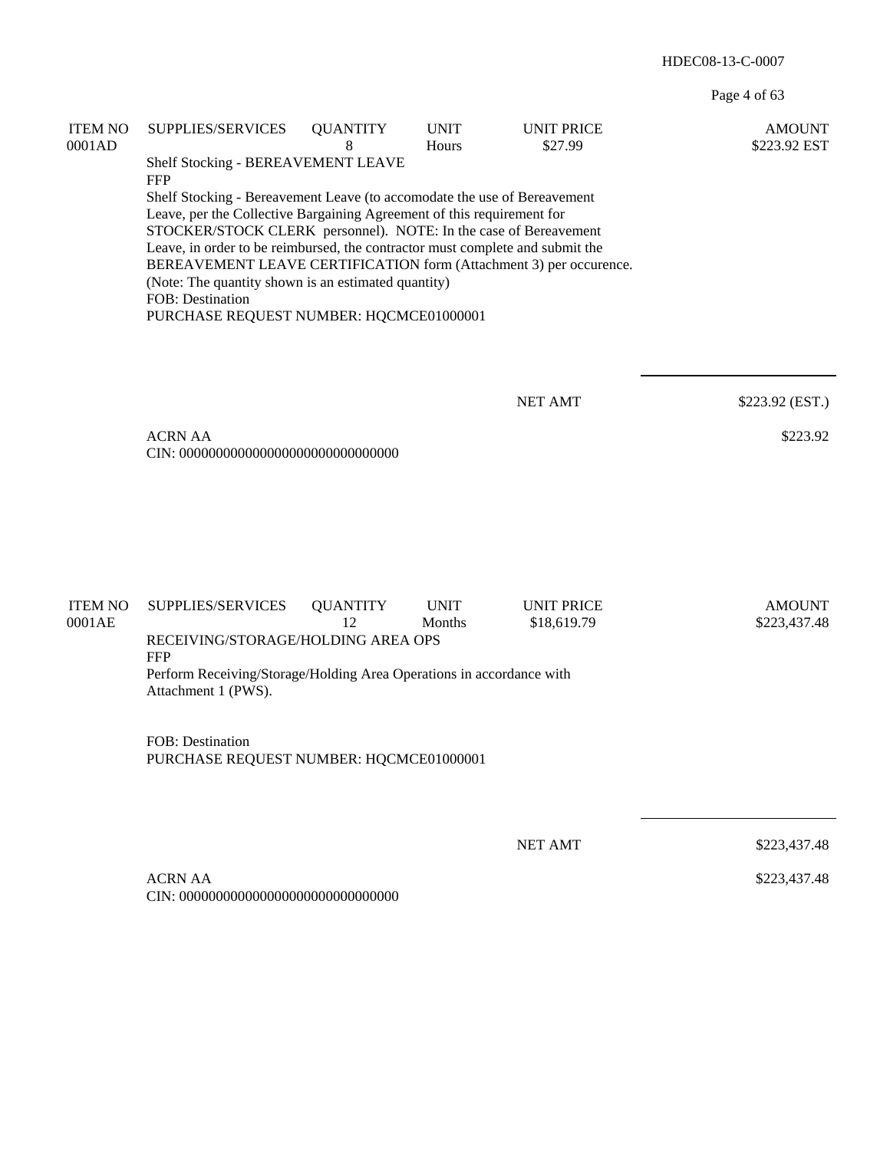Page 4 of 63

| <b>ITEM NO</b><br>0001AD | SUPPLIES/SERVICES<br>Shelf Stocking - BEREAVEMENT LEAVE                                                                                                                                                                                                                                                                                                                                                                                                                                                           | <b>QUANTITY</b><br>8  | <b>UNIT</b><br>Hours  | <b>UNIT PRICE</b><br>\$27.99     | <b>AMOUNT</b><br>\$223.92 EST |
|--------------------------|-------------------------------------------------------------------------------------------------------------------------------------------------------------------------------------------------------------------------------------------------------------------------------------------------------------------------------------------------------------------------------------------------------------------------------------------------------------------------------------------------------------------|-----------------------|-----------------------|----------------------------------|-------------------------------|
|                          | <b>FFP</b><br>Shelf Stocking - Bereavement Leave (to accomodate the use of Bereavement<br>Leave, per the Collective Bargaining Agreement of this requirement for<br>STOCKER/STOCK CLERK personnel). NOTE: In the case of Bereavement<br>Leave, in order to be reimbursed, the contractor must complete and submit the<br>BEREAVEMENT LEAVE CERTIFICATION form (Attachment 3) per occurence.<br>(Note: The quantity shown is an estimated quantity)<br>FOB: Destination<br>PURCHASE REQUEST NUMBER: HQCMCE01000001 |                       |                       |                                  |                               |
|                          |                                                                                                                                                                                                                                                                                                                                                                                                                                                                                                                   |                       |                       | <b>NET AMT</b>                   | \$223.92 (EST.)               |
|                          | <b>ACRN AA</b>                                                                                                                                                                                                                                                                                                                                                                                                                                                                                                    |                       |                       |                                  | \$223.92                      |
| <b>ITEM NO</b><br>0001AE | SUPPLIES/SERVICES<br>RECEIVING/STORAGE/HOLDING AREA OPS<br><b>FFP</b><br>Perform Receiving/Storage/Holding Area Operations in accordance with<br>Attachment 1 (PWS).                                                                                                                                                                                                                                                                                                                                              | <b>QUANTITY</b><br>12 | <b>UNIT</b><br>Months | <b>UNIT PRICE</b><br>\$18,619.79 | <b>AMOUNT</b><br>\$223,437.48 |
|                          | FOB: Destination<br>PURCHASE REQUEST NUMBER: HQCMCE01000001                                                                                                                                                                                                                                                                                                                                                                                                                                                       |                       |                       |                                  |                               |
|                          |                                                                                                                                                                                                                                                                                                                                                                                                                                                                                                                   |                       |                       | <b>NET AMT</b>                   | \$223,437.48                  |
|                          | <b>ACRN AA</b>                                                                                                                                                                                                                                                                                                                                                                                                                                                                                                    |                       |                       |                                  | \$223,437.48                  |
|                          |                                                                                                                                                                                                                                                                                                                                                                                                                                                                                                                   |                       |                       |                                  |                               |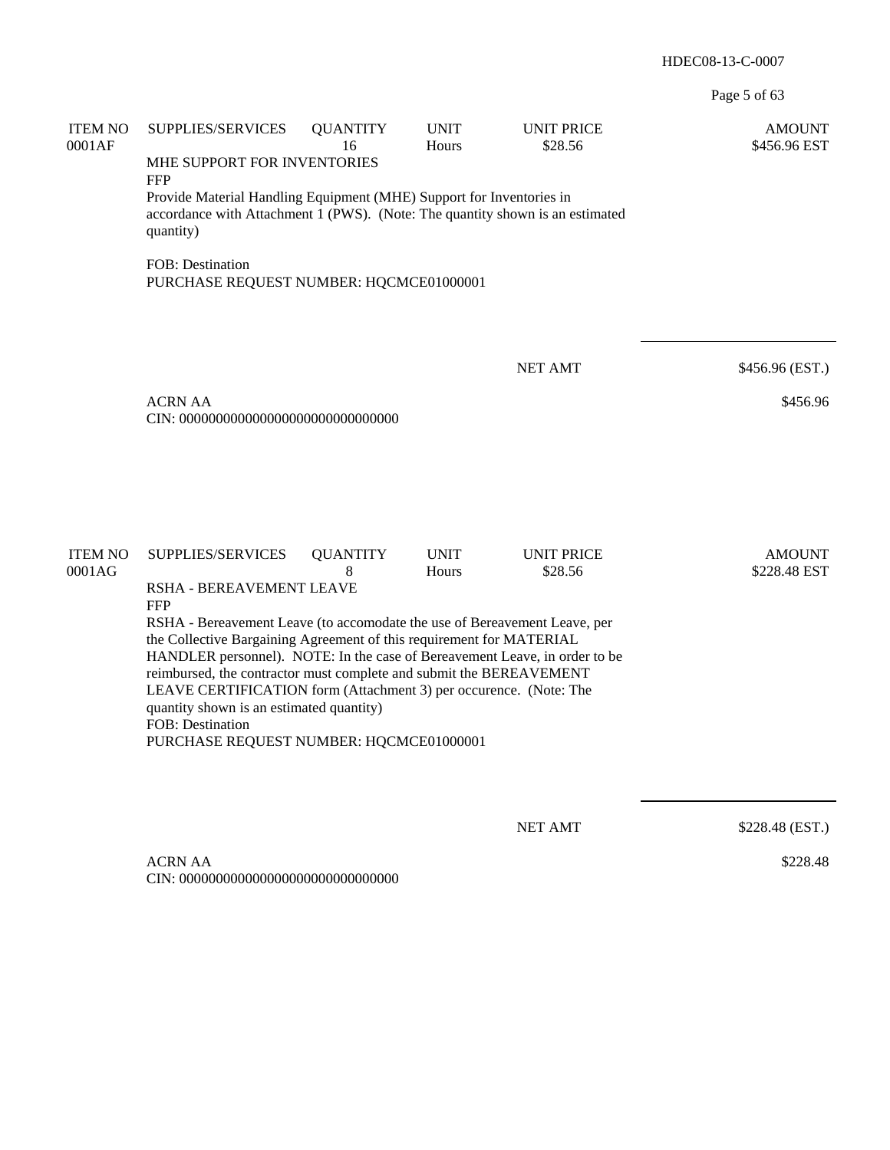Page 5 of 63

| <b>ITEM NO</b><br>0001AF | SUPPLIES/SERVICES<br>MHE SUPPORT FOR INVENTORIES<br><b>FFP</b><br>Provide Material Handling Equipment (MHE) Support for Inventories in<br>accordance with Attachment 1 (PWS). (Note: The quantity shown is an estimated<br>quantity)                                                                                                                                                                                                                                                                                                                                 | <b>QUANTITY</b><br>16 | <b>UNIT</b><br>Hours | <b>UNIT PRICE</b><br>\$28.56 | <b>AMOUNT</b><br>\$456.96 EST |
|--------------------------|----------------------------------------------------------------------------------------------------------------------------------------------------------------------------------------------------------------------------------------------------------------------------------------------------------------------------------------------------------------------------------------------------------------------------------------------------------------------------------------------------------------------------------------------------------------------|-----------------------|----------------------|------------------------------|-------------------------------|
|                          | <b>FOB: Destination</b><br>PURCHASE REQUEST NUMBER: HQCMCE01000001                                                                                                                                                                                                                                                                                                                                                                                                                                                                                                   |                       |                      |                              |                               |
|                          | <b>ACRN AA</b>                                                                                                                                                                                                                                                                                                                                                                                                                                                                                                                                                       |                       |                      | <b>NET AMT</b>               | \$456.96 (EST.)<br>\$456.96   |
| <b>ITEM NO</b><br>0001AG | <b>SUPPLIES/SERVICES</b><br>RSHA - BEREAVEMENT LEAVE<br><b>FFP</b><br>RSHA - Bereavement Leave (to accomodate the use of Bereavement Leave, per<br>the Collective Bargaining Agreement of this requirement for MATERIAL<br>HANDLER personnel). NOTE: In the case of Bereavement Leave, in order to be<br>reimbursed, the contractor must complete and submit the BEREAVEMENT<br>LEAVE CERTIFICATION form (Attachment 3) per occurence. (Note: The<br>quantity shown is an estimated quantity)<br><b>FOB</b> : Destination<br>PURCHASE REQUEST NUMBER: HQCMCE01000001 | <b>QUANTITY</b><br>8  | <b>UNIT</b><br>Hours | <b>UNIT PRICE</b><br>\$28.56 | <b>AMOUNT</b><br>\$228.48 EST |
|                          | <b>ACRN AA</b>                                                                                                                                                                                                                                                                                                                                                                                                                                                                                                                                                       |                       |                      | <b>NET AMT</b>               | \$228.48 (EST.)<br>\$228.48   |

CIN: 000000000000000000000000000000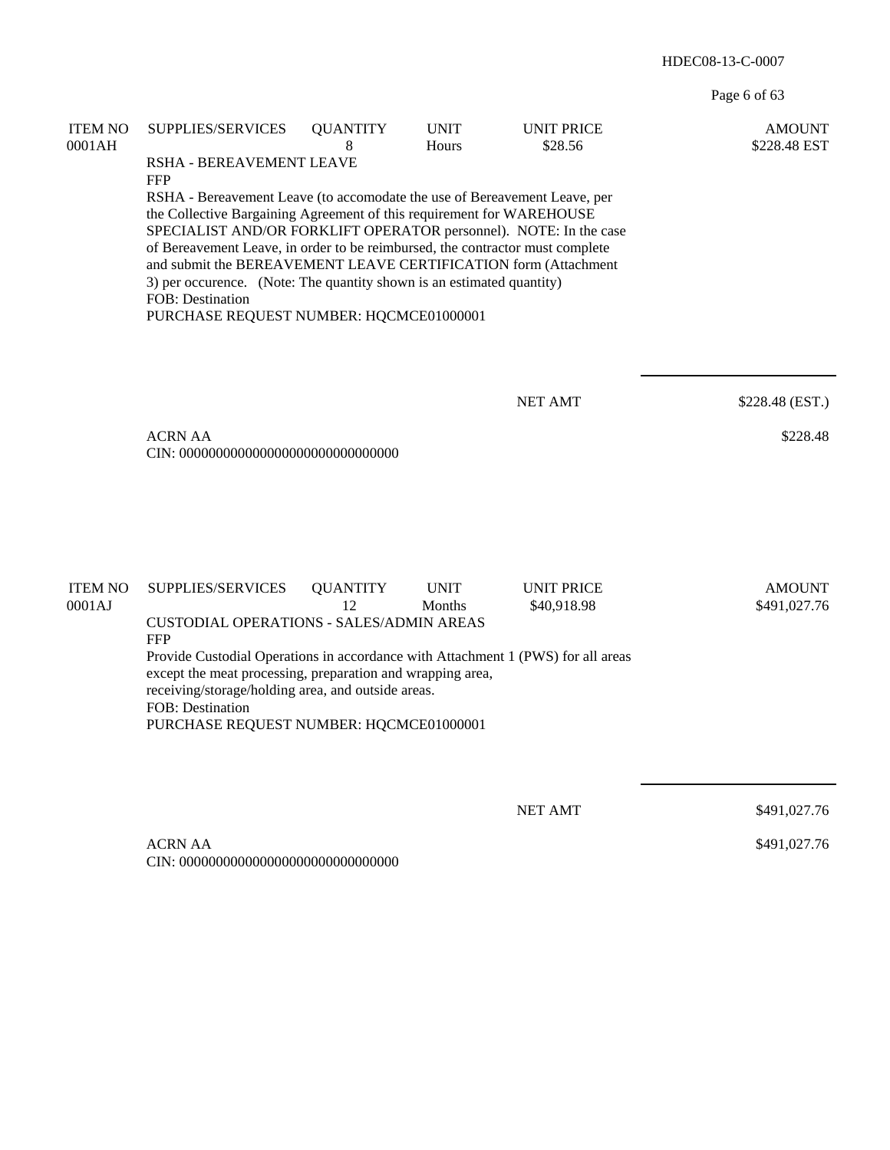Page 6 of 63

| <b>ITEM NO</b><br>0001AH | SUPPLIES/SERVICES                                                                                                                                                                                                                                                                                                                                                                                                                                                                                                                                                     | <b>QUANTITY</b><br>8  | <b>UNIT</b><br>Hours  | <b>UNIT PRICE</b><br>\$28.56     | <b>AMOUNT</b><br>\$228.48 EST |  |
|--------------------------|-----------------------------------------------------------------------------------------------------------------------------------------------------------------------------------------------------------------------------------------------------------------------------------------------------------------------------------------------------------------------------------------------------------------------------------------------------------------------------------------------------------------------------------------------------------------------|-----------------------|-----------------------|----------------------------------|-------------------------------|--|
|                          | RSHA - BEREAVEMENT LEAVE<br><b>FFP</b><br>RSHA - Bereavement Leave (to accomodate the use of Bereavement Leave, per<br>the Collective Bargaining Agreement of this requirement for WAREHOUSE<br>SPECIALIST AND/OR FORKLIFT OPERATOR personnel). NOTE: In the case<br>of Bereavement Leave, in order to be reimbursed, the contractor must complete<br>and submit the BEREAVEMENT LEAVE CERTIFICATION form (Attachment<br>3) per occurence. (Note: The quantity shown is an estimated quantity)<br><b>FOB</b> : Destination<br>PURCHASE REQUEST NUMBER: HQCMCE01000001 |                       |                       |                                  |                               |  |
|                          |                                                                                                                                                                                                                                                                                                                                                                                                                                                                                                                                                                       |                       |                       | <b>NET AMT</b>                   | \$228.48 (EST.)               |  |
|                          | <b>ACRN AA</b>                                                                                                                                                                                                                                                                                                                                                                                                                                                                                                                                                        |                       |                       |                                  | \$228.48                      |  |
| <b>ITEM NO</b><br>0001AJ | SUPPLIES/SERVICES                                                                                                                                                                                                                                                                                                                                                                                                                                                                                                                                                     | <b>QUANTITY</b><br>12 | <b>UNIT</b><br>Months | <b>UNIT PRICE</b><br>\$40,918.98 | <b>AMOUNT</b><br>\$491,027.76 |  |
|                          | <b>CUSTODIAL OPERATIONS - SALES/ADMIN AREAS</b><br><b>FFP</b><br>Provide Custodial Operations in accordance with Attachment 1 (PWS) for all areas<br>except the meat processing, preparation and wrapping area,<br>receiving/storage/holding area, and outside areas.<br>FOB: Destination<br>PURCHASE REQUEST NUMBER: HQCMCE01000001                                                                                                                                                                                                                                  |                       |                       |                                  |                               |  |
|                          |                                                                                                                                                                                                                                                                                                                                                                                                                                                                                                                                                                       |                       |                       | <b>NET AMT</b>                   | \$491,027.76                  |  |
|                          | <b>ACRN AA</b>                                                                                                                                                                                                                                                                                                                                                                                                                                                                                                                                                        |                       |                       |                                  | \$491,027.76                  |  |

CIN: 000000000000000000000000000000

\$491,027.76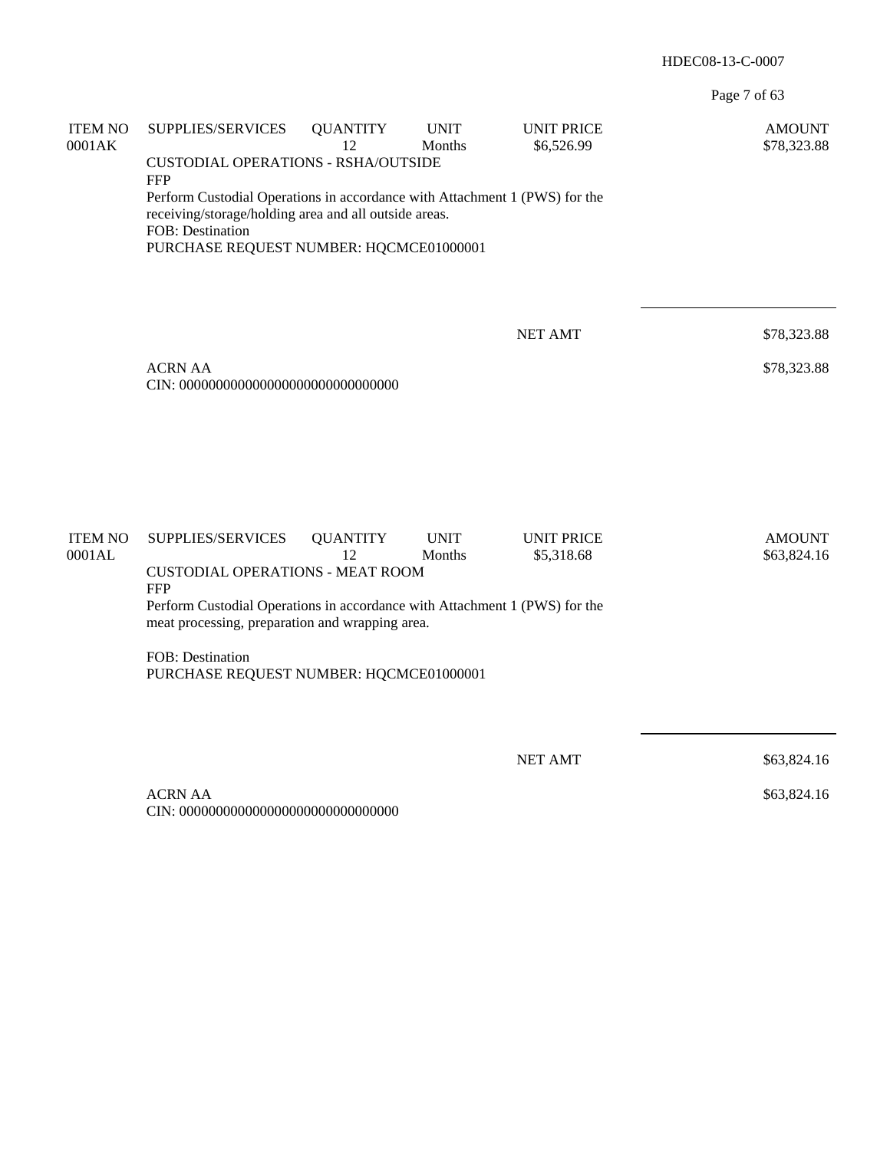Page 7 of 63

| <b>ITEM NO</b><br>0001AK | SUPPLIES/SERVICES                                                                                                                   | <b>QUANTITY</b><br>12 | <b>UNIT</b><br>Months | <b>UNIT PRICE</b><br>\$6,526.99 | <b>AMOUNT</b><br>\$78,323.88 |
|--------------------------|-------------------------------------------------------------------------------------------------------------------------------------|-----------------------|-----------------------|---------------------------------|------------------------------|
|                          | <b>CUSTODIAL OPERATIONS - RSHA/OUTSIDE</b><br><b>FFP</b>                                                                            |                       |                       |                                 |                              |
|                          | Perform Custodial Operations in accordance with Attachment 1 (PWS) for the<br>receiving/storage/holding area and all outside areas. |                       |                       |                                 |                              |
|                          | FOB: Destination<br>PURCHASE REQUEST NUMBER: HQCMCE01000001                                                                         |                       |                       |                                 |                              |
|                          |                                                                                                                                     |                       |                       | <b>NET AMT</b>                  | \$78,323.88                  |
|                          |                                                                                                                                     |                       |                       |                                 |                              |
|                          | <b>ACRN AA</b>                                                                                                                      |                       |                       |                                 | \$78,323.88                  |
|                          |                                                                                                                                     |                       |                       |                                 |                              |
|                          |                                                                                                                                     |                       |                       |                                 |                              |
|                          |                                                                                                                                     |                       |                       |                                 |                              |
| <b>ITEM NO</b><br>0001AL | SUPPLIES/SERVICES                                                                                                                   | <b>QUANTITY</b><br>12 | <b>UNIT</b><br>Months | <b>UNIT PRICE</b><br>\$5,318.68 | <b>AMOUNT</b><br>\$63,824.16 |
|                          | <b>CUSTODIAL OPERATIONS - MEAT ROOM</b><br><b>FFP</b>                                                                               |                       |                       |                                 |                              |
|                          | Perform Custodial Operations in accordance with Attachment 1 (PWS) for the<br>meat processing, preparation and wrapping area.       |                       |                       |                                 |                              |
|                          | FOB: Destination<br>PURCHASE REQUEST NUMBER: HQCMCE01000001                                                                         |                       |                       |                                 |                              |
|                          |                                                                                                                                     |                       |                       |                                 |                              |
|                          |                                                                                                                                     |                       |                       | <b>NET AMT</b>                  | \$63,824.16                  |
|                          | <b>ACRN AA</b>                                                                                                                      |                       |                       |                                 | \$63,824.16                  |